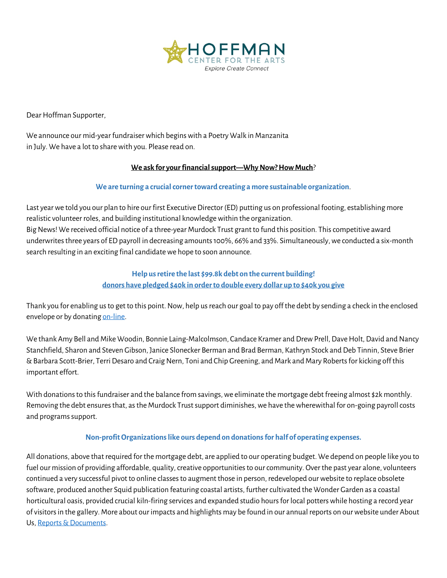

Dear Hoffman Supporter,

We announce our mid-year fundraiser which beginswith a Poetry Walk in Manzanita in July. We have a lot to share with you. Please read on.

## **We ask for your financial support—Why Now? How Much**?

## **We are turning a crucialcorner toward creating a more sustainable organization**.

Last year we told you our plan to hire our first Executive Director (ED) putting us on professional footing, establishing more realistic volunteer roles, and building institutional knowledge within the organization. Big News! We received official notice of a three-year Murdock Trust grant to fund this position. This competitive award underwrites three years of ED payroll in decreasing amounts 100%, 66% and 33%. Simultaneously, we conducted a six-month search resulting in an exciting final candidate we hope to soon announce.

# **Help us retire the last \$99.8k debt on the current building! donors have pledged \$40k in order to double every dollar up to \$40k you give**

Thank you for enabling us to get to this point. Now, help us reach our goal to pay off the debt by sending a check in the enclosed envelope or by donating on-line.

We thank Amy Bell and Mike Woodin, Bonnie Laing-Malcolmson, Candace Kramer and Drew Prell, Dave Holt, David and Nancy Stanchfield, Sharon and Steven Gibson, Janice Slonecker Berman and Brad Berman, Kathryn Stock and Deb Tinnin, Steve Brier & Barbara Scott-Brier, Terri Desaro and Craig Nern, Toni and Chip Greening, and Mark and Mary Roberts for kicking off this important effort.

With donations to this fundraiser and the balance from savings, we eliminate the mortgage debt freeing almost \$2k monthly. Removing the debt ensures that, as the Murdock Trust support diminishes, we have the wherewithal for on-going payroll costs and programs support.

## **Non-profit Organizations like ours depend on donations for half of operating expenses.**

All donations, above that required for the mortgage debt, are applied to our operating budget. We depend on people like you to fuel our mission of providing affordable, quality, creative opportunities to our community. Over the past year alone, volunteers continued a very successful pivot to online classes to augment those in person, redeveloped our website to replace obsolete software, produced another Squid publication featuring coastal artists, further cultivated the Wonder Garden as a coastal horticultural oasis, provided crucial kiln-firing services and expanded studio hours for local potters while hosting a record year of visitors in the gallery. More about our impacts and highlights may be found in our annual reports on our website under About Us, Reports & Documents.